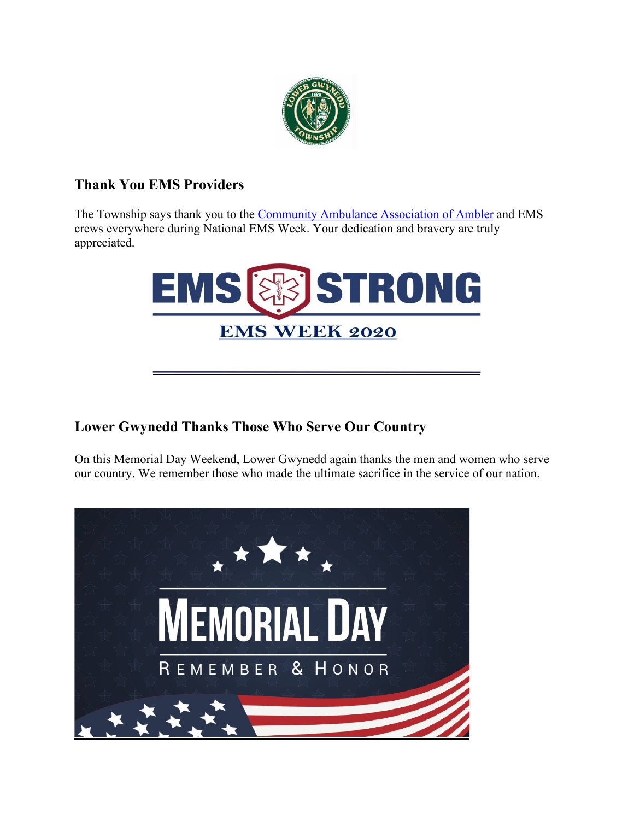

# **Thank You EMS Providers**

The Township says thank you to the [Community Ambulance Association of Ambler](https://amblerambulance.org/) and EMS crews everywhere during National EMS Week. Your dedication and bravery are truly appreciated.



## **Lower Gwynedd Thanks Those Who Serve Our Country**

On this Memorial Day Weekend, Lower Gwynedd again thanks the men and women who serve our country. We remember those who made the ultimate sacrifice in the service of our nation.

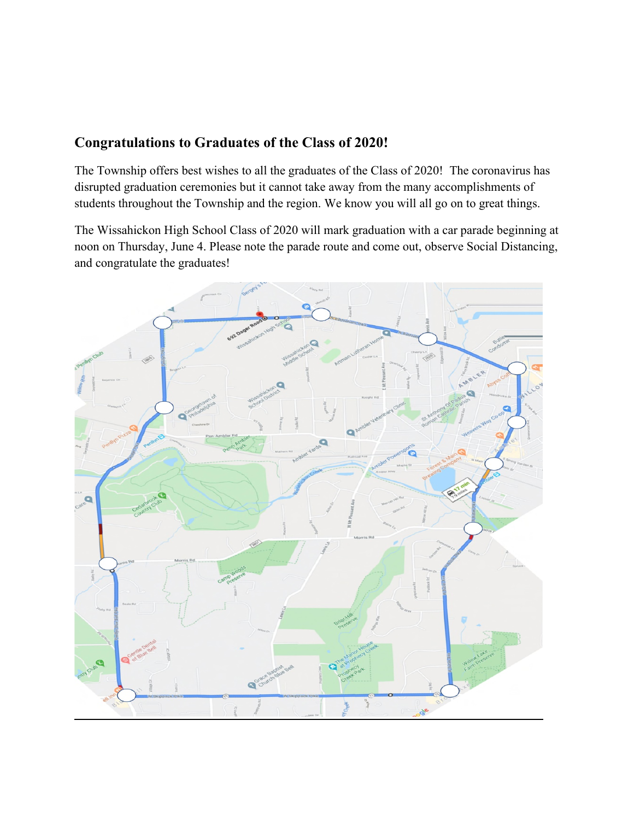#### **Congratulations to Graduates of the Class of 2020!**

The Township offers best wishes to all the graduates of the Class of 2020! The coronavirus has disrupted graduation ceremonies but it cannot take away from the many accomplishments of students throughout the Township and the region. We know you will all go on to great things.

The Wissahickon High School Class of 2020 will mark graduation with a car parade beginning at noon on Thursday, June 4. Please note the parade route and come out, observe Social Distancing, and congratulate the graduates!

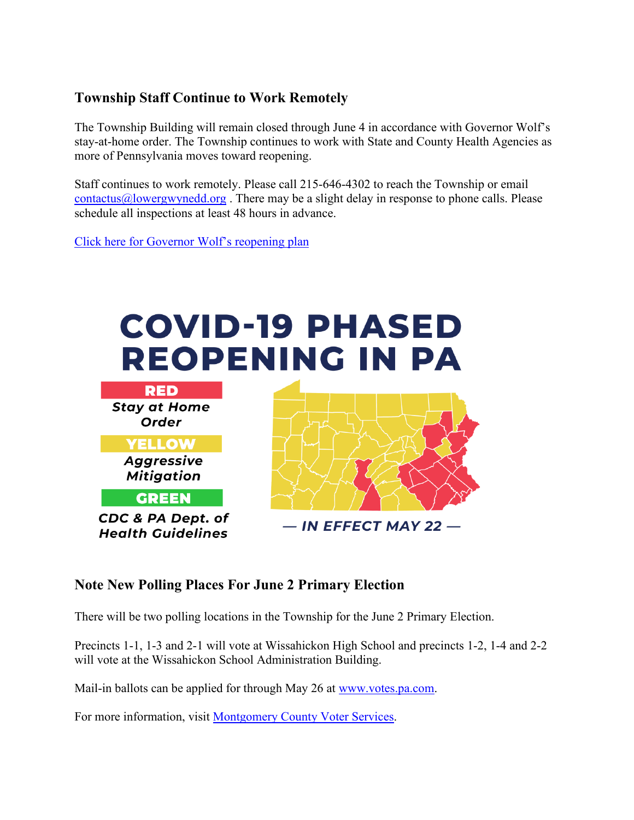## **Township Staff Continue to Work Remotely**

The Township Building will remain closed through June 4 in accordance with Governor Wolf's stay-at-home order. The Township continues to work with State and County Health Agencies as more of Pennsylvania moves toward reopening.

Staff continues to work remotely. Please call 215-646-4302 to reach the Township or email [contactus@lowergwynedd.org](mailto:contactus@lowergwynedd.org). There may be a slight delay in response to phone calls. Please schedule all inspections at least 48 hours in advance.

[Click here for Governor Wolf's reopening plan](https://www.governor.pa.gov/plan-for-pennsylvania/)



#### **Note New Polling Places For June 2 Primary Election**

There will be two polling locations in the Township for the June 2 Primary Election.

Precincts 1-1, 1-3 and 2-1 will vote at Wissahickon High School and precincts 1-2, 1-4 and 2-2 will vote at the Wissahickon School Administration Building.

Mail-in ballots can be applied for through May 26 at [www.votes.pa.com.](http://www.votes.pa.com/)

For more information, visit [Montgomery County Voter Services.](https://www.montcopa.org/753/Voter-Services)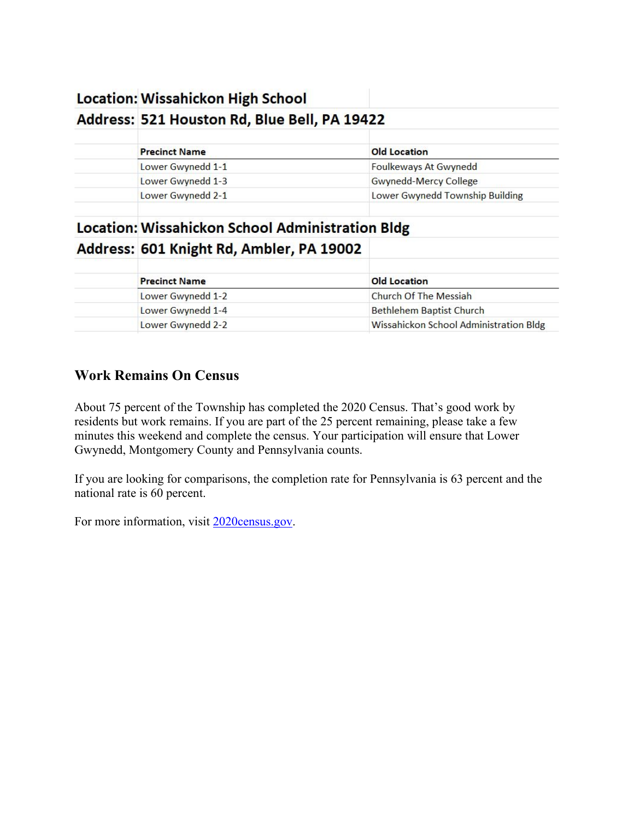## **Location: Wissahickon High School**

#### Address: 521 Houston Rd, Blue Bell, PA 19422

| <b>Precinct Name</b> | <b>Old Location</b>             |
|----------------------|---------------------------------|
| Lower Gwynedd 1-1    | Foulkeways At Gwynedd           |
| Lower Gwynedd 1-3    | Gwynedd-Mercy College           |
| Lower Gwynedd 2-1    | Lower Gwynedd Township Building |
|                      |                                 |

# **Location: Wissahickon School Administration Bldg** Address: 601 Knight Rd, Ambler, PA 19002

| <b>Precinct Name</b> | <b>Old Location</b>                    |
|----------------------|----------------------------------------|
| Lower Gwynedd 1-2    | Church Of The Messiah                  |
| Lower Gwynedd 1-4    | <b>Bethlehem Baptist Church</b>        |
| Lower Gwynedd 2-2    | Wissahickon School Administration Bldg |

## **Work Remains On Census**

About 75 percent of the Township has completed the 2020 Census. That's good work by residents but work remains. If you are part of the 25 percent remaining, please take a few minutes this weekend and complete the census. Your participation will ensure that Lower Gwynedd, Montgomery County and Pennsylvania counts.

If you are looking for comparisons, the completion rate for Pennsylvania is 63 percent and the national rate is 60 percent.

For more information, visit [2020census.gov.](https://2020census.gov/)